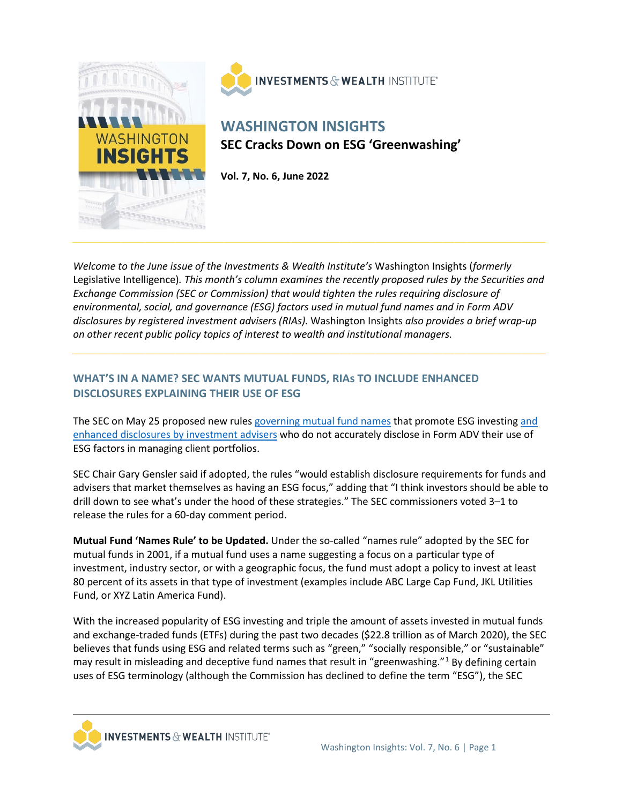

**INVESTMENTS & WEALTH INSTITUTE\*** 

# **WASHINGTON INSIGHTS SEC Cracks Down on ESG 'Greenwashing'**

**Vol. 7, No. 6, June 2022**

*Welcome to the June issue of the Investments & Wealth Institute's* Washington Insights (*formerly* Legislative Intelligence)*. This month's column examines the recently proposed rules by the Securities and Exchange Commission (SEC or Commission) that would tighten the rules requiring disclosure of environmental, social, and governance (ESG) factors used in mutual fund names and in Form ADV disclosures by registered investment advisers (RIAs).* Washington Insights *also provides a brief wrap-up on other recent public policy topics of interest to wealth and institutional managers.* 

## **WHAT'S IN A NAME? SEC WANTS MUTUAL FUNDS, RIAs TO INCLUDE ENHANCED DISCLOSURES EXPLAINING THEIR USE OF ESG**

The SEC on May 25 proposed new rules [governing mutual fund names](https://www.sec.gov/rules/proposed/2022/33-11067.pdf?utm_medium=email&utm_source=govdelivery) that promote ESG investing and [enhanced disclosures by investment advisers](https://www.sec.gov/rules/proposed/2022/ia-6034.pdf?utm_medium=email&utm_source=govdelivery) who do not accurately disclose in Form ADV their use of ESG factors in managing client portfolios.

SEC Chair Gary Gensler said if adopted, the rules "would establish disclosure requirements for funds and advisers that market themselves as having an ESG focus," adding that "I think investors should be able to drill down to see what's under the hood of these strategies." The SEC commissioners voted 3–1 to release the rules for a 60-day comment period.

**Mutual Fund 'Names Rule' to be Updated.** Under the so-called "names rule" adopted by the SEC for mutual funds in 2001, if a mutual fund uses a name suggesting a focus on a particular type of investment, industry sector, or with a geographic focus, the fund must adopt a policy to invest at least 80 percent of its assets in that type of investment (examples include ABC Large Cap Fund, JKL Utilities Fund, or XYZ Latin America Fund).

With the increased popularity of ESG investing and triple the amount of assets invested in mutual funds and exchange-traded funds (ETFs) during the past two decades (\$22.8 trillion as of March 2020), the SEC believes that funds using ESG and related terms such as "green," "socially responsible," or "sustainable" may result in misleading and deceptive fund names that result in "greenwashing."[1](#page-3-0) By defining certain uses of ESG terminology (although the Commission has declined to define the term "ESG"), the SEC

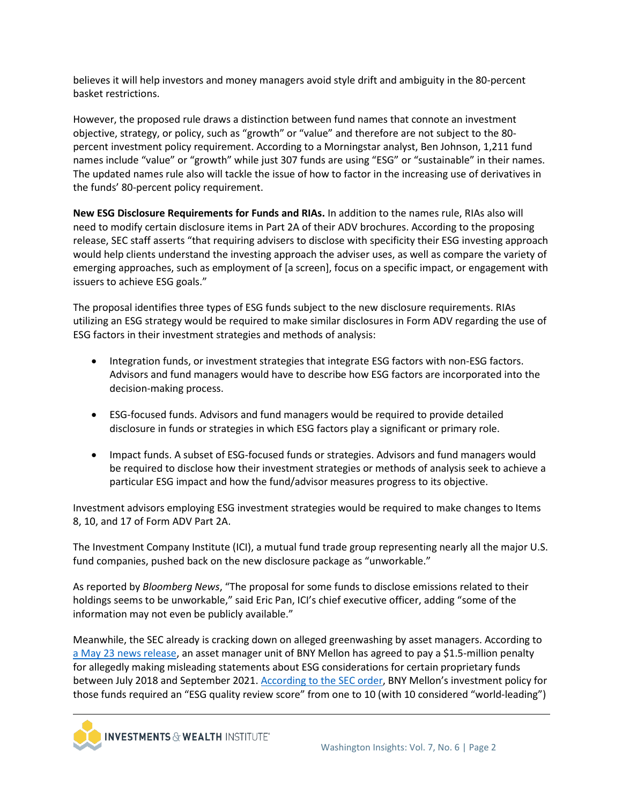believes it will help investors and money managers avoid style drift and ambiguity in the 80-percent basket restrictions.

However, the proposed rule draws a distinction between fund names that connote an investment objective, strategy, or policy, such as "growth" or "value" and therefore are not subject to the 80 percent investment policy requirement. According to a Morningstar analyst, Ben Johnson, 1,211 fund names include "value" or "growth" while just 307 funds are using "ESG" or "sustainable" in their names. The updated names rule also will tackle the issue of how to factor in the increasing use of derivatives in the funds' 80-percent policy requirement.

**New ESG Disclosure Requirements for Funds and RIAs.** In addition to the names rule, RIAs also will need to modify certain disclosure items in Part 2A of their ADV brochures. According to the proposing release, SEC staff asserts "that requiring advisers to disclose with specificity their ESG investing approach would help clients understand the investing approach the adviser uses, as well as compare the variety of emerging approaches, such as employment of [a screen], focus on a specific impact, or engagement with issuers to achieve ESG goals."

The proposal identifies three types of ESG funds subject to the new disclosure requirements. RIAs utilizing an ESG strategy would be required to make similar disclosures in Form ADV regarding the use of ESG factors in their investment strategies and methods of analysis:

- Integration funds, or investment strategies that integrate ESG factors with non-ESG factors. Advisors and fund managers would have to describe how ESG factors are incorporated into the decision-making process.
- ESG-focused funds. Advisors and fund managers would be required to provide detailed disclosure in funds or strategies in which ESG factors play a significant or primary role.
- Impact funds. A subset of ESG-focused funds or strategies. Advisors and fund managers would be required to disclose how their investment strategies or methods of analysis seek to achieve a particular ESG impact and how the fund/advisor measures progress to its objective.

Investment advisors employing ESG investment strategies would be required to make changes to Items 8, 10, and 17 of Form ADV Part 2A.

The Investment Company Institute (ICI), a mutual fund trade group representing nearly all the major U.S. fund companies, pushed back on the new disclosure package as "unworkable."

As reported by *Bloomberg News*, "The proposal for some funds to disclose emissions related to their holdings seems to be unworkable," said Eric Pan, ICI's chief executive officer, adding "some of the information may not even be publicly available."

Meanwhile, the SEC already is cracking down on alleged greenwashing by asset managers. According to [a May 23 news release,](https://www.sec.gov/news/press-release/2022-86) an asset manager unit of BNY Mellon has agreed to pay a \$1.5-million penalty for allegedly making misleading statements about ESG considerations for certain proprietary funds between July 2018 and September 2021. [According to the SEC order,](https://www.sec.gov/litigation/admin/2022/ia-6032.pdf) BNY Mellon's investment policy for those funds required an "ESG quality review score" from one to 10 (with 10 considered "world-leading")

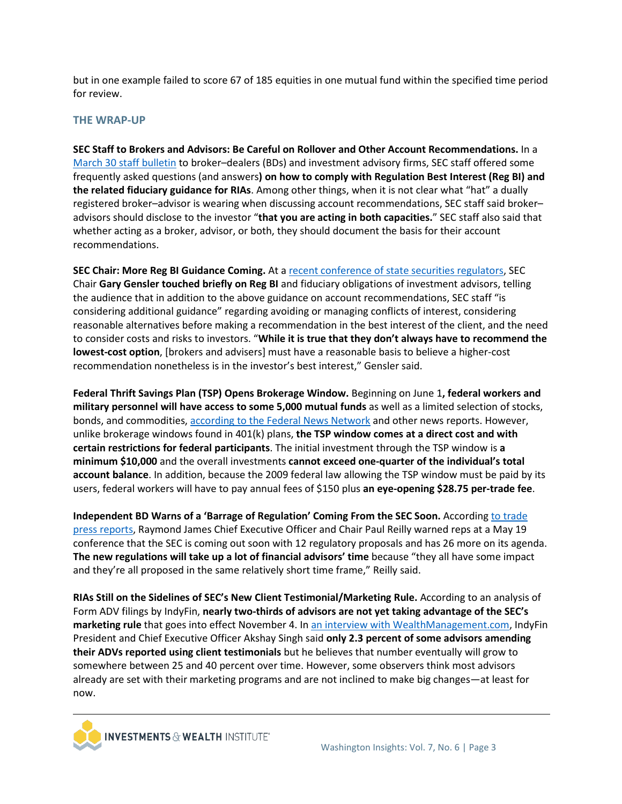but in one example failed to score 67 of 185 equities in one mutual fund within the specified time period for review.

#### **THE WRAP-UP**

**SEC Staff to Brokers and Advisors: Be Careful on Rollover and Other Account Recommendations.** In a [March 30 staff bulletin](https://www.sec.gov/tm/iabd-staff-bulletin) to broker–dealers (BDs) and investment advisory firms, SEC staff offered some frequently asked questions (and answers**) on how to comply with Regulation Best Interest (Reg BI) and the related fiduciary guidance for RIAs**. Among other things, when it is not clear what "hat" a dually registered broker–advisor is wearing when discussing account recommendations, SEC staff said broker– advisors should disclose to the investor "**that you are acting in both capacities.**" SEC staff also said that whether acting as a broker, advisor, or both, they should document the basis for their account recommendations.

**SEC Chair: More Reg BI Guidance Coming.** At [a recent conference of state securities regulators,](https://www.sec.gov/news/speech/gensler-remarks-nasaa-spring-meeting-051722) SEC Chair **Gary Gensler touched briefly on Reg BI** and fiduciary obligations of investment advisors, telling the audience that in addition to the above guidance on account recommendations, SEC staff "is considering additional guidance" regarding avoiding or managing conflicts of interest, considering reasonable alternatives before making a recommendation in the best interest of the client, and the need to consider costs and risks to investors. "**While it is true that they don't always have to recommend the lowest-cost option**, [brokers and advisers] must have a reasonable basis to believe a higher-cost recommendation nonetheless is in the investor's best interest," Gensler said.

**Federal Thrift Savings Plan (TSP) Opens Brokerage Window.** Beginning on June 1**, federal workers and military personnel will have access to some 5,000 mutual funds** as well as a limited selection of stocks, bonds, and commodities, [according to the Federal News Network](https://federalnewsnetwork.com/tsp/2022/05/tsps-modernization-project-set-to-launch-june-1-after-transition-period/) and other news reports. However, unlike brokerage windows found in 401(k) plans, **the TSP window comes at a direct cost and with certain restrictions for federal participants**. The initial investment through the TSP window is **a minimum \$10,000** and the overall investments **cannot exceed one-quarter of the individual's total account balance**. In addition, because the 2009 federal law allowing the TSP window must be paid by its users, federal workers will have to pay annual fees of \$150 plus **an eye-opening \$28.75 per-trade fee**.

**Independent BD Warns of a 'Barrage of Regulation' Coming From the SEC Soon.** Accordin[g to trade](https://financialadvisoriq.com/c/3610984/462584/raymond_james_have_your_back)  [press reports,](https://financialadvisoriq.com/c/3610984/462584/raymond_james_have_your_back) Raymond James Chief Executive Officer and Chair Paul Reilly warned reps at a May 19 conference that the SEC is coming out soon with 12 regulatory proposals and has 26 more on its agenda. **The new regulations will take up a lot of financial advisors' time** because "they all have some impact and they're all proposed in the same relatively short time frame," Reilly said.

**RIAs Still on the Sidelines of SEC's New Client Testimonial/Marketing Rule.** According to an analysis of Form ADV filings by IndyFin, **nearly two-thirds of advisors are not yet taking advantage of the SEC's marketing rule** that goes into effect November 4. In [an interview with WealthManagement.com,](https://www.wealthmanagement.com/regulation-compliance/nearly-two-thirds-rias-have-not-adopted-secs-marketing-rule) IndyFin President and Chief Executive Officer Akshay Singh said **only 2.3 percent of some advisors amending their ADVs reported using client testimonials** but he believes that number eventually will grow to somewhere between 25 and 40 percent over time. However, some observers think most advisors already are set with their marketing programs and are not inclined to make big changes—at least for now.